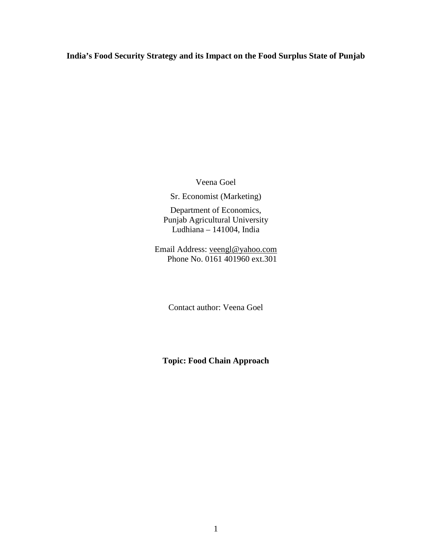**India's Food Security Strategy and its Impact on the Food Surplus State of Punjab** 

Veena Goel

Sr. Economist (Marketing)

Department of Economics, Punjab Agricultural University Ludhiana – 141004, India

Email Address: veengl@yahoo.com Phone No. 0161 401960 ext.301

Contact author: Veena Goel

**Topic: Food Chain Approach**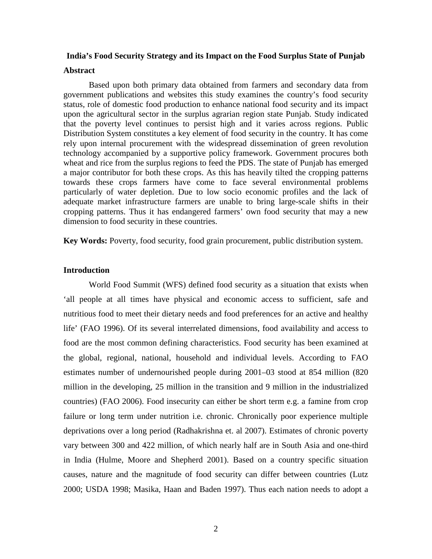#### **India's Food Security Strategy and its Impact on the Food Surplus State of Punjab**

#### **Abstract**

Based upon both primary data obtained from farmers and secondary data from government publications and websites this study examines the country's food security status, role of domestic food production to enhance national food security and its impact upon the agricultural sector in the surplus agrarian region state Punjab. Study indicated that the poverty level continues to persist high and it varies across regions. Public Distribution System constitutes a key element of food security in the country. It has come rely upon internal procurement with the widespread dissemination of green revolution technology accompanied by a supportive policy framework. Government procures both wheat and rice from the surplus regions to feed the PDS. The state of Punjab has emerged a major contributor for both these crops. As this has heavily tilted the cropping patterns towards these crops farmers have come to face several environmental problems particularly of water depletion. Due to low socio economic profiles and the lack of adequate market infrastructure farmers are unable to bring large-scale shifts in their cropping patterns. Thus it has endangered farmers' own food security that may a new dimension to food security in these countries.

**Key Words:** Poverty, food security, food grain procurement, public distribution system.

#### **Introduction**

World Food Summit (WFS) defined food security as a situation that exists when 'all people at all times have physical and economic access to sufficient, safe and nutritious food to meet their dietary needs and food preferences for an active and healthy life' (FAO 1996). Of its several interrelated dimensions, food availability and access to food are the most common defining characteristics. Food security has been examined at the global, regional, national, household and individual levels. According to FAO estimates number of undernourished people during 2001–03 stood at 854 million (820 million in the developing, 25 million in the transition and 9 million in the industrialized countries) (FAO 2006). Food insecurity can either be short term e.g. a famine from crop failure or long term under nutrition i.e. chronic. Chronically poor experience multiple deprivations over a long period (Radhakrishna et. al 2007). Estimates of chronic poverty vary between 300 and 422 million, of which nearly half are in South Asia and one-third in India (Hulme, Moore and Shepherd 2001). Based on a country specific situation causes, nature and the magnitude of food security can differ between countries (Lutz 2000; USDA 1998; Masika, Haan and Baden 1997). Thus each nation needs to adopt a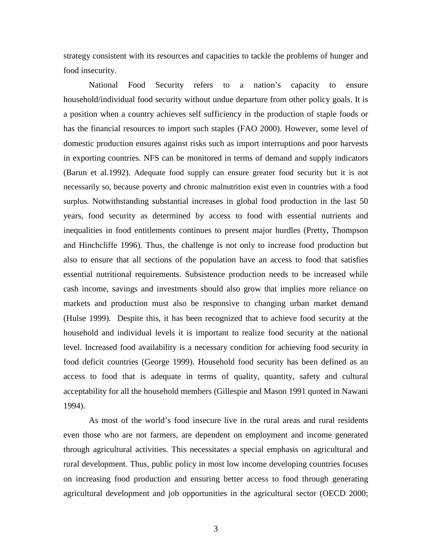strategy consistent with its resources and capacities to tackle the problems of hunger and food insecurity.

National Food Security refers to a nation's capacity to ensure household/individual food security without undue departure from other policy goals. It is a position when a country achieves self sufficiency in the production of staple foods or has the financial resources to import such staples (FAO 2000). However, some level of domestic production ensures against risks such as import interruptions and poor harvests in exporting countries. NFS can be monitored in terms of demand and supply indicators (Barun et al.1992). Adequate food supply can ensure greater food security but it is not necessarily so, because poverty and chronic malnutrition exist even in countries with a food surplus. Notwithstanding substantial increases in global food production in the last 50 years, food security as determined by access to food with essential nutrients and inequalities in food entitlements continues to present major hurdles (Pretty, Thompson and Hinchcliffe 1996). Thus, the challenge is not only to increase food production but also to ensure that all sections of the population have an access to food that satisfies essential nutritional requirements. Subsistence production needs to be increased while cash income, savings and investments should also grow that implies more reliance on markets and production must also be responsive to changing urban market demand (Hulse 1999). Despite this, it has been recognized that to achieve food security at the household and individual levels it is important to realize food security at the national level. Increased food availability is a necessary condition for achieving food security in food deficit countries (George 1999). Household food security has been defined as an access to food that is adequate in terms of quality, quantity, safety and cultural acceptability for all the household members (Gillespie and Mason 1991 quoted in Nawani 1994).

As most of the world's food insecure live in the rural areas and rural residents even those who are not farmers, are dependent on employment and income generated through agricultural activities. This necessitates a special emphasis on agricultural and rural development. Thus, public policy in most low income developing countries focuses on increasing food production and ensuring better access to food through generating agricultural development and job opportunities in the agricultural sector (OECD 2000;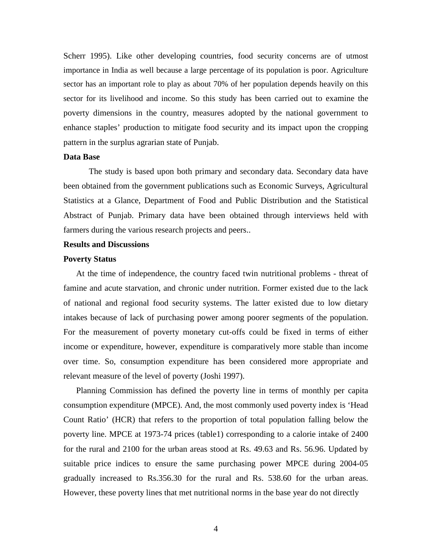Scherr 1995). Like other developing countries, food security concerns are of utmost importance in India as well because a large percentage of its population is poor. Agriculture sector has an important role to play as about 70% of her population depends heavily on this sector for its livelihood and income. So this study has been carried out to examine the poverty dimensions in the country, measures adopted by the national government to enhance staples' production to mitigate food security and its impact upon the cropping pattern in the surplus agrarian state of Punjab.

#### **Data Base**

The study is based upon both primary and secondary data. Secondary data have been obtained from the government publications such as Economic Surveys, Agricultural Statistics at a Glance, Department of Food and Public Distribution and the Statistical Abstract of Punjab. Primary data have been obtained through interviews held with farmers during the various research projects and peers..

## **Results and Discussions**

#### **Poverty Status**

At the time of independence, the country faced twin nutritional problems - threat of famine and acute starvation, and chronic under nutrition. Former existed due to the lack of national and regional food security systems. The latter existed due to low dietary intakes because of lack of purchasing power among poorer segments of the population. For the measurement of poverty monetary cut-offs could be fixed in terms of either income or expenditure, however, expenditure is comparatively more stable than income over time. So, consumption expenditure has been considered more appropriate and relevant measure of the level of poverty (Joshi 1997).

Planning Commission has defined the poverty line in terms of monthly per capita consumption expenditure (MPCE). And, the most commonly used poverty index is 'Head Count Ratio' (HCR) that refers to the proportion of total population falling below the poverty line. MPCE at 1973-74 prices (table1) corresponding to a calorie intake of 2400 for the rural and 2100 for the urban areas stood at Rs. 49.63 and Rs. 56.96. Updated by suitable price indices to ensure the same purchasing power MPCE during 2004-05 gradually increased to Rs.356.30 for the rural and Rs. 538.60 for the urban areas. However, these poverty lines that met nutritional norms in the base year do not directly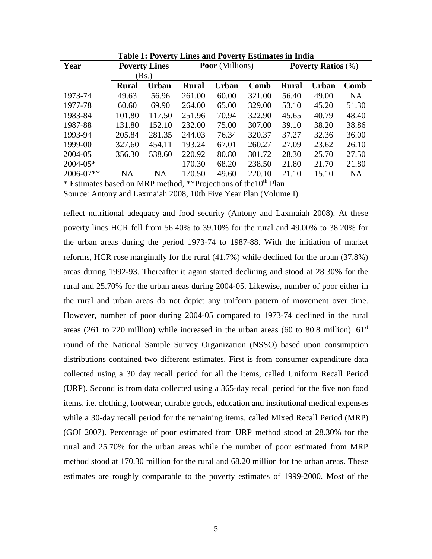| Year         | <b>Poverty Lines</b> |              |        | <b>Poor</b> (Millions) |        | <b>Poverty Ratios</b> (%) |              |           |  |
|--------------|----------------------|--------------|--------|------------------------|--------|---------------------------|--------------|-----------|--|
|              | (Rs.)                |              |        |                        |        |                           |              |           |  |
|              | <b>Rural</b>         | <b>Urban</b> | Rural  | <b>Urban</b>           | Comb   | <b>Rural</b>              | <b>Urban</b> | Comb      |  |
| 1973-74      | 49.63                | 56.96        | 261.00 | 60.00                  | 321.00 | 56.40                     | 49.00        | <b>NA</b> |  |
| 1977-78      | 60.60                | 69.90        | 264.00 | 65.00                  | 329.00 | 53.10                     | 45.20        | 51.30     |  |
| 1983-84      | 101.80               | 117.50       | 251.96 | 70.94                  | 322.90 | 45.65                     | 40.79        | 48.40     |  |
| 1987-88      | 131.80               | 152.10       | 232.00 | 75.00                  | 307.00 | 39.10                     | 38.20        | 38.86     |  |
| 1993-94      | 205.84               | 281.35       | 244.03 | 76.34                  | 320.37 | 37.27                     | 32.36        | 36.00     |  |
| 1999-00      | 327.60               | 454.11       | 193.24 | 67.01                  | 260.27 | 27.09                     | 23.62        | 26.10     |  |
| 2004-05      | 356.30               | 538.60       | 220.92 | 80.80                  | 301.72 | 28.30                     | 25.70        | 27.50     |  |
| $2004 - 05*$ |                      |              | 170.30 | 68.20                  | 238.50 | 21.80                     | 21.70        | 21.80     |  |
| 2006-07**    | <b>NA</b>            | NA           | 170.50 | 49.60                  | 220.10 | 21.10                     | 15.10        | <b>NA</b> |  |

**Table 1: Poverty Lines and Poverty Estimates in India** 

\* Estimates based on MRP method, \*\*Projections of the 10<sup>th</sup> Plan

Source: Antony and Laxmaiah 2008, 10th Five Year Plan (Volume I).

reflect nutritional adequacy and food security (Antony and Laxmaiah 2008). At these poverty lines HCR fell from 56.40% to 39.10% for the rural and 49.00% to 38.20% for the urban areas during the period 1973-74 to 1987-88. With the initiation of market reforms, HCR rose marginally for the rural (41.7%) while declined for the urban (37.8%) areas during 1992-93. Thereafter it again started declining and stood at 28.30% for the rural and 25.70% for the urban areas during 2004-05. Likewise, number of poor either in the rural and urban areas do not depict any uniform pattern of movement over time. However, number of poor during 2004-05 compared to 1973-74 declined in the rural areas (261 to 220 million) while increased in the urban areas (60 to 80.8 million).  $61<sup>st</sup>$ round of the National Sample Survey Organization (NSSO) based upon consumption distributions contained two different estimates. First is from consumer expenditure data collected using a 30 day recall period for all the items, called Uniform Recall Period (URP). Second is from data collected using a 365-day recall period for the five non food items, i.e. clothing, footwear, durable goods, education and institutional medical expenses while a 30-day recall period for the remaining items, called Mixed Recall Period (MRP) (GOI 2007). Percentage of poor estimated from URP method stood at 28.30% for the rural and 25.70% for the urban areas while the number of poor estimated from MRP method stood at 170.30 million for the rural and 68.20 million for the urban areas. These estimates are roughly comparable to the poverty estimates of 1999-2000. Most of the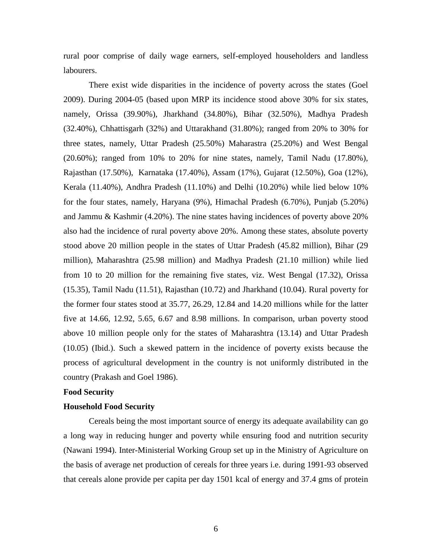rural poor comprise of daily wage earners, self-employed householders and landless labourers.

There exist wide disparities in the incidence of poverty across the states (Goel 2009). During 2004-05 (based upon MRP its incidence stood above 30% for six states, namely, Orissa (39.90%), Jharkhand (34.80%), Bihar (32.50%), Madhya Pradesh (32.40%), Chhattisgarh (32%) and Uttarakhand (31.80%); ranged from 20% to 30% for three states, namely, Uttar Pradesh (25.50%) Maharastra (25.20%) and West Bengal (20.60%); ranged from 10% to 20% for nine states, namely, Tamil Nadu (17.80%), Rajasthan (17.50%), Karnataka (17.40%), Assam (17%), Gujarat (12.50%), Goa (12%), Kerala (11.40%), Andhra Pradesh (11.10%) and Delhi (10.20%) while lied below 10% for the four states, namely, Haryana (9%), Himachal Pradesh (6.70%), Punjab (5.20%) and Jammu & Kashmir (4.20%). The nine states having incidences of poverty above 20% also had the incidence of rural poverty above 20%. Among these states, absolute poverty stood above 20 million people in the states of Uttar Pradesh (45.82 million), Bihar (29 million), Maharashtra (25.98 million) and Madhya Pradesh (21.10 million) while lied from 10 to 20 million for the remaining five states, viz. West Bengal (17.32), Orissa (15.35), Tamil Nadu (11.51), Rajasthan (10.72) and Jharkhand (10.04). Rural poverty for the former four states stood at 35.77, 26.29, 12.84 and 14.20 millions while for the latter five at 14.66, 12.92, 5.65, 6.67 and 8.98 millions. In comparison, urban poverty stood above 10 million people only for the states of Maharashtra (13.14) and Uttar Pradesh (10.05) (Ibid.). Such a skewed pattern in the incidence of poverty exists because the process of agricultural development in the country is not uniformly distributed in the country (Prakash and Goel 1986).

## **Food Security**

#### **Household Food Security**

Cereals being the most important source of energy its adequate availability can go a long way in reducing hunger and poverty while ensuring food and nutrition security (Nawani 1994). Inter-Ministerial Working Group set up in the Ministry of Agriculture on the basis of average net production of cereals for three years i.e. during 1991-93 observed that cereals alone provide per capita per day 1501 kcal of energy and 37.4 gms of protein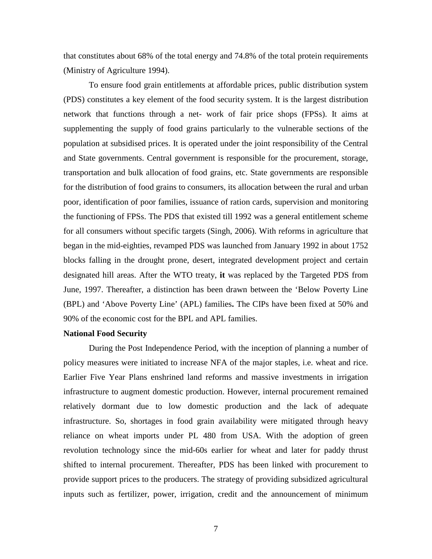that constitutes about 68% of the total energy and 74.8% of the total protein requirements (Ministry of Agriculture 1994).

To ensure food grain entitlements at affordable prices, public distribution system (PDS) constitutes a key element of the food security system. It is the largest distribution network that functions through a net- work of fair price shops (FPSs). It aims at supplementing the supply of food grains particularly to the vulnerable sections of the population at subsidised prices. It is operated under the joint responsibility of the Central and State governments. Central government is responsible for the procurement, storage, transportation and bulk allocation of food grains, etc. State governments are responsible for the distribution of food grains to consumers, its allocation between the rural and urban poor, identification of poor families, issuance of ration cards, supervision and monitoring the functioning of FPSs. The PDS that existed till 1992 was a general entitlement scheme for all consumers without specific targets (Singh, 2006). With reforms in agriculture that began in the mid-eighties, revamped PDS was launched from January 1992 in about 1752 blocks falling in the drought prone, desert, integrated development project and certain designated hill areas. After the WTO treaty, **it** was replaced by the Targeted PDS from June, 1997. Thereafter, a distinction has been drawn between the 'Below Poverty Line (BPL) and 'Above Poverty Line' (APL) families**.** The CIPs have been fixed at 50% and 90% of the economic cost for the BPL and APL families.

## **National Food Security**

During the Post Independence Period, with the inception of planning a number of policy measures were initiated to increase NFA of the major staples, i.e. wheat and rice. Earlier Five Year Plans enshrined land reforms and massive investments in irrigation infrastructure to augment domestic production. However, internal procurement remained relatively dormant due to low domestic production and the lack of adequate infrastructure. So, shortages in food grain availability were mitigated through heavy reliance on wheat imports under PL 480 from USA. With the adoption of green revolution technology since the mid-60s earlier for wheat and later for paddy thrust shifted to internal procurement. Thereafter, PDS has been linked with procurement to provide support prices to the producers. The strategy of providing subsidized agricultural inputs such as fertilizer, power, irrigation, credit and the announcement of minimum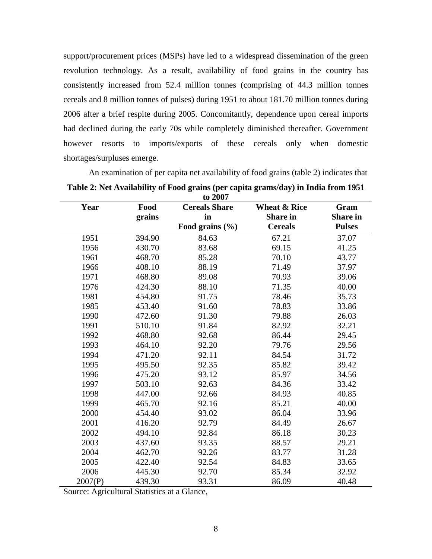support/procurement prices (MSPs) have led to a widespread dissemination of the green revolution technology. As a result, availability of food grains in the country has consistently increased from 52.4 million tonnes (comprising of 44.3 million tonnes cereals and 8 million tonnes of pulses) during 1951 to about 181.70 million tonnes during 2006 after a brief respite during 2005. Concomitantly, dependence upon cereal imports had declined during the early 70s while completely diminished thereafter. Government however resorts to imports/exports of these cereals only when domestic shortages/surpluses emerge.

| to 2007 |        |                      |                         |                 |  |  |  |  |  |
|---------|--------|----------------------|-------------------------|-----------------|--|--|--|--|--|
| Year    | Food   | <b>Cereals Share</b> | <b>Wheat &amp; Rice</b> | Gram            |  |  |  |  |  |
|         | grains | in                   | <b>Share in</b>         | <b>Share</b> in |  |  |  |  |  |
|         |        | Food grains $(\% )$  | <b>Cereals</b>          | <b>Pulses</b>   |  |  |  |  |  |
| 1951    | 394.90 | 84.63                | 67.21                   | 37.07           |  |  |  |  |  |
| 1956    | 430.70 | 83.68                | 69.15                   | 41.25           |  |  |  |  |  |
| 1961    | 468.70 | 85.28                | 70.10                   | 43.77           |  |  |  |  |  |
| 1966    | 408.10 | 88.19                | 71.49                   | 37.97           |  |  |  |  |  |
| 1971    | 468.80 | 89.08                | 70.93                   | 39.06           |  |  |  |  |  |
| 1976    | 424.30 | 88.10                | 71.35                   | 40.00           |  |  |  |  |  |
| 1981    | 454.80 | 91.75                | 78.46                   | 35.73           |  |  |  |  |  |
| 1985    | 453.40 | 91.60                | 78.83                   | 33.86           |  |  |  |  |  |
| 1990    | 472.60 | 91.30                | 79.88                   | 26.03           |  |  |  |  |  |
| 1991    | 510.10 | 91.84                | 82.92                   | 32.21           |  |  |  |  |  |
| 1992    | 468.80 | 92.68                | 86.44                   | 29.45           |  |  |  |  |  |
| 1993    | 464.10 | 92.20                | 79.76                   | 29.56           |  |  |  |  |  |
| 1994    | 471.20 | 92.11                | 84.54                   | 31.72           |  |  |  |  |  |
| 1995    | 495.50 | 92.35                | 85.82                   | 39.42           |  |  |  |  |  |
| 1996    | 475.20 | 93.12                | 85.97                   | 34.56           |  |  |  |  |  |
| 1997    | 503.10 | 92.63                | 84.36                   | 33.42           |  |  |  |  |  |
| 1998    | 447.00 | 92.66                | 84.93                   | 40.85           |  |  |  |  |  |
| 1999    | 465.70 | 92.16                | 85.21                   | 40.00           |  |  |  |  |  |
| 2000    | 454.40 | 93.02                | 86.04                   | 33.96           |  |  |  |  |  |
| 2001    | 416.20 | 92.79                | 84.49                   | 26.67           |  |  |  |  |  |
| 2002    | 494.10 | 92.84                | 86.18                   | 30.23           |  |  |  |  |  |
| 2003    | 437.60 | 93.35                | 88.57                   | 29.21           |  |  |  |  |  |
| 2004    | 462.70 | 92.26                | 83.77                   | 31.28           |  |  |  |  |  |
| 2005    | 422.40 | 92.54                | 84.83                   | 33.65           |  |  |  |  |  |
| 2006    | 445.30 | 92.70                | 85.34                   | 32.92           |  |  |  |  |  |
| 2007(P) | 439.30 | 93.31                | 86.09                   | 40.48           |  |  |  |  |  |

An examination of per capita net availability of food grains (table 2) indicates that **Table 2: Net Availability of Food grains (per capita grams/day) in India from 1951** 

Source: Agricultural Statistics at a Glance,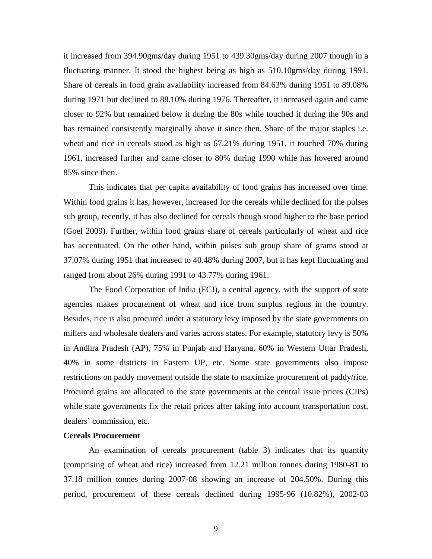it increased from 394.90gms/day during 1951 to 439.30gms/day during 2007 though in a fluctuating manner. It stood the highest being as high as 510.10gms/day during 1991. Share of cereals in food grain availability increased from 84.63% during 1951 to 89.08% during 1971 but declined to 88.10% during 1976. Thereafter, it increased again and came closer to 92% but remained below it during the 80s while touched it during the 90s and has remained consistently marginally above it since then. Share of the major staples i.e. wheat and rice in cereals stood as high as 67.21% during 1951, it touched 70% during 1961, increased further and came closer to 80% during 1990 while has hovered around 85% since then.

 This indicates that per capita availability of food grains has increased over time. Within food grains it has, however, increased for the cereals while declined for the pulses sub group, recently, it has also declined for cereals though stood higher to the base period (Goel 2009). Further, within food grains share of cereals particularly of wheat and rice has accentuated. On the other hand, within pulses sub group share of grams stood at 37.07% during 1951 that increased to 40.48% during 2007, but it has kept fluctuating and ranged from about 26% during 1991 to 43.77% during 1961.

The Food Corporation of India (FCI), a central agency, with the support of state agencies makes procurement of wheat and rice from surplus regions in the country. Besides, rice is also procured under a statutory levy imposed by the state governments on millers and wholesale dealers and varies across states. For example, statutory levy is 50% in Andhra Pradesh (AP), 75% in Punjab and Haryana, 60% in Western Uttar Pradesh, 40% in some districts in Eastern UP, etc. Some state governments also impose restrictions on paddy movement outside the state to maximize procurement of paddy/rice. Procured grains are allocated to the state governments at the central issue prices (CIPs) while state governments fix the retail prices after taking into account transportation cost, dealers' commission, etc.

### **Cereals Procurement**

An examination of cereals procurement (table 3) indicates that its quantity (comprising of wheat and rice) increased from 12.21 million tonnes during 1980-81 to 37.18 million tonnes during 2007-08 showing an increase of 204.50%. During this period, procurement of these cereals declined during 1995-96 (10.82%), 2002-03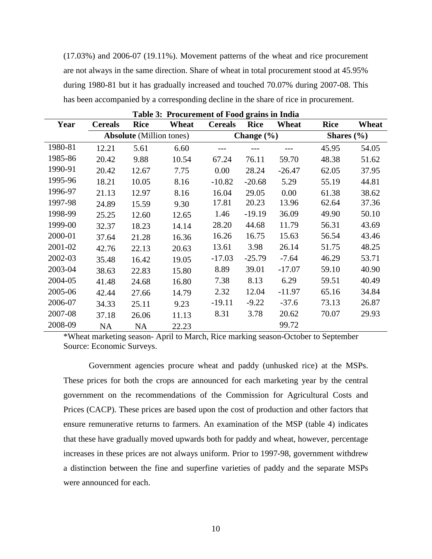(17.03%) and 2006-07 (19.11%). Movement patterns of the wheat and rice procurement are not always in the same direction. Share of wheat in total procurement stood at 45.95% during 1980-81 but it has gradually increased and touched 70.07% during 2007-08. This has been accompanied by a corresponding decline in the share of rice in procurement.

| Table 3: Procurement of Food grains in India |                |                                 |       |                |                |          |                |       |  |  |  |
|----------------------------------------------|----------------|---------------------------------|-------|----------------|----------------|----------|----------------|-------|--|--|--|
| Year                                         | <b>Cereals</b> | <b>Rice</b>                     | Wheat | <b>Cereals</b> | <b>Rice</b>    | Wheat    | <b>Rice</b>    | Wheat |  |  |  |
|                                              |                | <b>Absolute</b> (Million tones) |       |                | Change $(\% )$ |          | Shares $(\% )$ |       |  |  |  |
| 1980-81                                      | 12.21          | 5.61                            | 6.60  |                |                |          | 45.95          | 54.05 |  |  |  |
| 1985-86                                      | 20.42          | 9.88                            | 10.54 | 67.24          | 76.11          | 59.70    | 48.38          | 51.62 |  |  |  |
| 1990-91                                      | 20.42          | 12.67                           | 7.75  | 0.00           | 28.24          | $-26.47$ | 62.05          | 37.95 |  |  |  |
| 1995-96                                      | 18.21          | 10.05                           | 8.16  | $-10.82$       | $-20.68$       | 5.29     | 55.19          | 44.81 |  |  |  |
| 1996-97                                      | 21.13          | 12.97                           | 8.16  | 16.04          | 29.05          | 0.00     | 61.38          | 38.62 |  |  |  |
| 1997-98                                      | 24.89          | 15.59                           | 9.30  | 17.81          | 20.23          | 13.96    | 62.64          | 37.36 |  |  |  |
| 1998-99                                      | 25.25          | 12.60                           | 12.65 | 1.46           | $-19.19$       | 36.09    | 49.90          | 50.10 |  |  |  |
| 1999-00                                      | 32.37          | 18.23                           | 14.14 | 28.20          | 44.68          | 11.79    | 56.31          | 43.69 |  |  |  |
| 2000-01                                      | 37.64          | 21.28                           | 16.36 | 16.26          | 16.75          | 15.63    | 56.54          | 43.46 |  |  |  |
| 2001-02                                      | 42.76          | 22.13                           | 20.63 | 13.61          | 3.98           | 26.14    | 51.75          | 48.25 |  |  |  |
| 2002-03                                      | 35.48          | 16.42                           | 19.05 | $-17.03$       | $-25.79$       | $-7.64$  | 46.29          | 53.71 |  |  |  |
| 2003-04                                      | 38.63          | 22.83                           | 15.80 | 8.89           | 39.01          | $-17.07$ | 59.10          | 40.90 |  |  |  |
| 2004-05                                      | 41.48          | 24.68                           | 16.80 | 7.38           | 8.13           | 6.29     | 59.51          | 40.49 |  |  |  |
| 2005-06                                      | 42.44          | 27.66                           | 14.79 | 2.32           | 12.04          | $-11.97$ | 65.16          | 34.84 |  |  |  |
| 2006-07                                      | 34.33          | 25.11                           | 9.23  | $-19.11$       | $-9.22$        | $-37.6$  | 73.13          | 26.87 |  |  |  |
| 2007-08                                      | 37.18          | 26.06                           | 11.13 | 8.31           | 3.78           | 20.62    | 70.07          | 29.93 |  |  |  |
| 2008-09                                      | <b>NA</b>      | <b>NA</b>                       | 22.23 |                |                | 99.72    |                |       |  |  |  |

**Table 3: Procurement of Food grains in India**

\*Wheat marketing season- April to March, Rice marking season-October to September Source: Economic Surveys.

Government agencies procure wheat and paddy (unhusked rice) at the MSPs. These prices for both the crops are announced for each marketing year by the central government on the recommendations of the Commission for Agricultural Costs and Prices (CACP). These prices are based upon the cost of production and other factors that ensure remunerative returns to farmers. An examination of the MSP (table 4) indicates that these have gradually moved upwards both for paddy and wheat, however, percentage increases in these prices are not always uniform. Prior to 1997-98, government withdrew a distinction between the fine and superfine varieties of paddy and the separate MSPs were announced for each.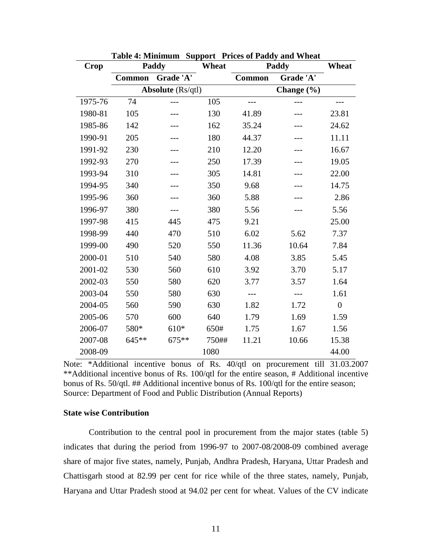| <b>Crop</b> | Paddy         |                          | Wheat |               | Paddy     | Wheat            |
|-------------|---------------|--------------------------|-------|---------------|-----------|------------------|
|             | <b>Common</b> | Grade 'A'                |       | <b>Common</b> | Grade 'A' |                  |
|             |               | <b>Absolute</b> (Rs/qtl) |       |               |           |                  |
| 1975-76     | 74            |                          | 105   |               |           |                  |
| 1980-81     | 105           |                          | 130   | 41.89         |           | 23.81            |
| 1985-86     | 142           |                          | 162   | 35.24         |           | 24.62            |
| 1990-91     | 205           |                          | 180   | 44.37         |           | 11.11            |
| 1991-92     | 230           |                          | 210   | 12.20         |           | 16.67            |
| 1992-93     | 270           |                          | 250   | 17.39         |           | 19.05            |
| 1993-94     | 310           |                          | 305   | 14.81         |           | 22.00            |
| 1994-95     | 340           |                          | 350   | 9.68          |           | 14.75            |
| 1995-96     | 360           |                          | 360   | 5.88          |           | 2.86             |
| 1996-97     | 380           |                          | 380   | 5.56          |           | 5.56             |
| 1997-98     | 415           | 445                      | 475   | 9.21          |           | 25.00            |
| 1998-99     | 440           | 470                      | 510   | 6.02          | 5.62      | 7.37             |
| 1999-00     | 490           | 520                      | 550   | 11.36         | 10.64     | 7.84             |
| 2000-01     | 510           | 540                      | 580   | 4.08          | 3.85      | 5.45             |
| 2001-02     | 530           | 560                      | 610   | 3.92          | 3.70      | 5.17             |
| 2002-03     | 550           | 580                      | 620   | 3.77          | 3.57      | 1.64             |
| 2003-04     | 550           | 580                      | 630   |               |           | 1.61             |
| 2004-05     | 560           | 590                      | 630   | 1.82          | 1.72      | $\boldsymbol{0}$ |
| 2005-06     | 570           | 600                      | 640   | 1.79          | 1.69      | 1.59             |
| 2006-07     | 580*          | 610*                     | 650#  | 1.75          | 1.67      | 1.56             |
| 2007-08     | $645**$       | $675***$                 | 750## | 11.21         | 10.66     | 15.38            |
| 2008-09     |               |                          | 1080  |               |           | 44.00            |

**Table 4: Minimum Support Prices of Paddy and Wheat** 

Note: \*Additional incentive bonus of Rs. 40/qtl on procurement till 31.03.2007 \*\*Additional incentive bonus of Rs. 100/qtl for the entire season, # Additional incentive bonus of Rs. 50/qtl. ## Additional incentive bonus of Rs. 100/qtl for the entire season; Source: Department of Food and Public Distribution (Annual Reports)

## **State wise Contribution**

 Contribution to the central pool in procurement from the major states (table 5) indicates that during the period from 1996-97 to 2007-08/2008-09 combined average share of major five states, namely, Punjab, Andhra Pradesh, Haryana, Uttar Pradesh and Chattisgarh stood at 82.99 per cent for rice while of the three states, namely, Punjab, Haryana and Uttar Pradesh stood at 94.02 per cent for wheat. Values of the CV indicate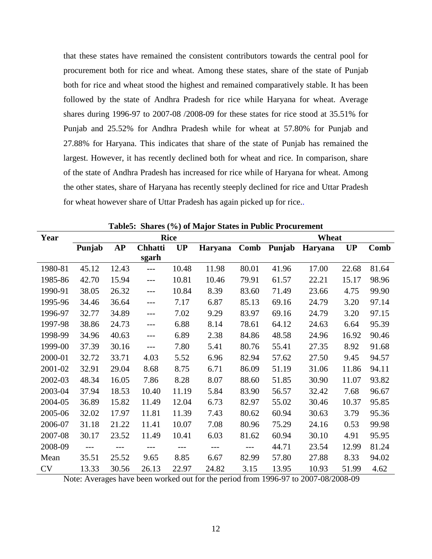that these states have remained the consistent contributors towards the central pool for procurement both for rice and wheat. Among these states, share of the state of Punjab both for rice and wheat stood the highest and remained comparatively stable. It has been followed by the state of Andhra Pradesh for rice while Haryana for wheat. Average shares during 1996-97 to 2007-08 /2008-09 for these states for rice stood at 35.51% for Punjab and 25.52% for Andhra Pradesh while for wheat at 57.80% for Punjab and 27.88% for Haryana. This indicates that share of the state of Punjab has remained the largest. However, it has recently declined both for wheat and rice. In comparison, share of the state of Andhra Pradesh has increased for rice while of Haryana for wheat. Among the other states, share of Haryana has recently steeply declined for rice and Uttar Pradesh for wheat however share of Uttar Pradesh has again picked up for rice..

| Year      | <b>Rice</b> |           |                |           |                |       |        | Wheat   |           |       |  |
|-----------|-------------|-----------|----------------|-----------|----------------|-------|--------|---------|-----------|-------|--|
|           | Punjab      | <b>AP</b> | <b>Chhatti</b> | <b>UP</b> | <b>Haryana</b> | Comb  | Punjab | Haryana | <b>UP</b> | Comb  |  |
|           |             |           | sgarh          |           |                |       |        |         |           |       |  |
| 1980-81   | 45.12       | 12.43     | $\overline{a}$ | 10.48     | 11.98          | 80.01 | 41.96  | 17.00   | 22.68     | 81.64 |  |
| 1985-86   | 42.70       | 15.94     | $---$          | 10.81     | 10.46          | 79.91 | 61.57  | 22.21   | 15.17     | 98.96 |  |
| 1990-91   | 38.05       | 26.32     | $---$          | 10.84     | 8.39           | 83.60 | 71.49  | 23.66   | 4.75      | 99.90 |  |
| 1995-96   | 34.46       | 36.64     | ---            | 7.17      | 6.87           | 85.13 | 69.16  | 24.79   | 3.20      | 97.14 |  |
| 1996-97   | 32.77       | 34.89     | ---            | 7.02      | 9.29           | 83.97 | 69.16  | 24.79   | 3.20      | 97.15 |  |
| 1997-98   | 38.86       | 24.73     | ---            | 6.88      | 8.14           | 78.61 | 64.12  | 24.63   | 6.64      | 95.39 |  |
| 1998-99   | 34.96       | 40.63     | $---$          | 6.89      | 2.38           | 84.86 | 48.58  | 24.96   | 16.92     | 90.46 |  |
| 1999-00   | 37.39       | 30.16     | $---$          | 7.80      | 5.41           | 80.76 | 55.41  | 27.35   | 8.92      | 91.68 |  |
| 2000-01   | 32.72       | 33.71     | 4.03           | 5.52      | 6.96           | 82.94 | 57.62  | 27.50   | 9.45      | 94.57 |  |
| 2001-02   | 32.91       | 29.04     | 8.68           | 8.75      | 6.71           | 86.09 | 51.19  | 31.06   | 11.86     | 94.11 |  |
| 2002-03   | 48.34       | 16.05     | 7.86           | 8.28      | 8.07           | 88.60 | 51.85  | 30.90   | 11.07     | 93.82 |  |
| 2003-04   | 37.94       | 18.53     | 10.40          | 11.19     | 5.84           | 83.90 | 56.57  | 32.42   | 7.68      | 96.67 |  |
| 2004-05   | 36.89       | 15.82     | 11.49          | 12.04     | 6.73           | 82.97 | 55.02  | 30.46   | 10.37     | 95.85 |  |
| 2005-06   | 32.02       | 17.97     | 11.81          | 11.39     | 7.43           | 80.62 | 60.94  | 30.63   | 3.79      | 95.36 |  |
| 2006-07   | 31.18       | 21.22     | 11.41          | 10.07     | 7.08           | 80.96 | 75.29  | 24.16   | 0.53      | 99.98 |  |
| 2007-08   | 30.17       | 23.52     | 11.49          | 10.41     | 6.03           | 81.62 | 60.94  | 30.10   | 4.91      | 95.95 |  |
| 2008-09   | $---$       |           |                | ---       | $---$          | ---   | 44.71  | 23.54   | 12.99     | 81.24 |  |
| Mean      | 35.51       | 25.52     | 9.65           | 8.85      | 6.67           | 82.99 | 57.80  | 27.88   | 8.33      | 94.02 |  |
| <b>CV</b> | 13.33       | 30.56     | 26.13          | 22.97     | 24.82          | 3.15  | 13.95  | 10.93   | 51.99     | 4.62  |  |

**Table5: Shares (%) of Major States in Public Procurement** 

Note: Averages have been worked out for the period from 1996-97 to 2007-08/2008-09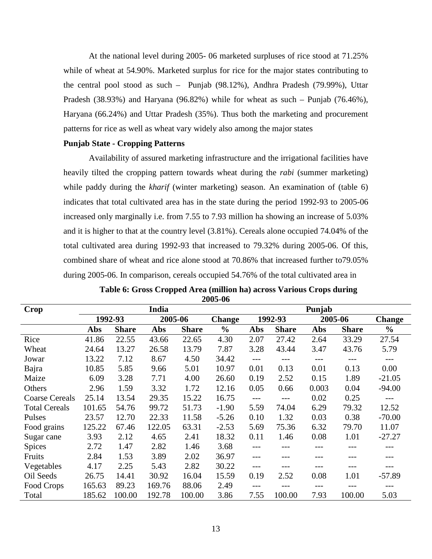At the national level during 2005- 06 marketed surpluses of rice stood at 71.25% while of wheat at 54.90%. Marketed surplus for rice for the major states contributing to the central pool stood as such – Punjab (98.12%), Andhra Pradesh (79.99%), Uttar Pradesh (38.93%) and Haryana (96.82%) while for wheat as such – Punjab (76.46%), Haryana (66.24%) and Uttar Pradesh (35%). Thus both the marketing and procurement patterns for rice as well as wheat vary widely also among the major states

# **Punjab State - Cropping Patterns**

Availability of assured marketing infrastructure and the irrigational facilities have heavily tilted the cropping pattern towards wheat during the *rabi* (summer marketing) while paddy during the *kharif* (winter marketing) season. An examination of (table 6) indicates that total cultivated area has in the state during the period 1992-93 to 2005-06 increased only marginally i.e. from 7.55 to 7.93 million ha showing an increase of 5.03% and it is higher to that at the country level (3.81%). Cereals alone occupied 74.04% of the total cultivated area during 1992-93 that increased to 79.32% during 2005-06. Of this, combined share of wheat and rice alone stood at 70.86% that increased further to79.05% during 2005-06. In comparison, cereals occupied 54.76% of the total cultivated area in

| <b>Crop</b>           | India  |              |         |              |               |       | Punjab       |       |              |               |  |
|-----------------------|--------|--------------|---------|--------------|---------------|-------|--------------|-------|--------------|---------------|--|
|                       |        | 1992-93      | 2005-06 |              | <b>Change</b> |       | 1992-93      |       | 2005-06      | <b>Change</b> |  |
|                       | Abs    | <b>Share</b> | Abs     | <b>Share</b> | $\frac{0}{0}$ | Abs   | <b>Share</b> | Abs   | <b>Share</b> | $\frac{0}{0}$ |  |
| Rice                  | 41.86  | 22.55        | 43.66   | 22.65        | 4.30          | 2.07  | 27.42        | 2.64  | 33.29        | 27.54         |  |
| Wheat                 | 24.64  | 13.27        | 26.58   | 13.79        | 7.87          | 3.28  | 43.44        | 3.47  | 43.76        | 5.79          |  |
| Jowar                 | 13.22  | 7.12         | 8.67    | 4.50         | 34.42         | $---$ | $---$        | $---$ | ---          | $---$         |  |
| Bajra                 | 10.85  | 5.85         | 9.66    | 5.01         | 10.97         | 0.01  | 0.13         | 0.01  | 0.13         | 0.00          |  |
| Maize                 | 6.09   | 3.28         | 7.71    | 4.00         | 26.60         | 0.19  | 2.52         | 0.15  | 1.89         | $-21.05$      |  |
| Others                | 2.96   | 1.59         | 3.32    | 1.72         | 12.16         | 0.05  | 0.66         | 0.003 | 0.04         | $-94.00$      |  |
| <b>Coarse Cereals</b> | 25.14  | 13.54        | 29.35   | 15.22        | 16.75         | $---$ | ---          | 0.02  | 0.25         | ---           |  |
| <b>Total Cereals</b>  | 101.65 | 54.76        | 99.72   | 51.73        | $-1.90$       | 5.59  | 74.04        | 6.29  | 79.32        | 12.52         |  |
| Pulses                | 23.57  | 12.70        | 22.33   | 11.58        | $-5.26$       | 0.10  | 1.32         | 0.03  | 0.38         | $-70.00$      |  |
| Food grains           | 125.22 | 67.46        | 122.05  | 63.31        | $-2.53$       | 5.69  | 75.36        | 6.32  | 79.70        | 11.07         |  |
| Sugar cane            | 3.93   | 2.12         | 4.65    | 2.41         | 18.32         | 0.11  | 1.46         | 0.08  | 1.01         | $-27.27$      |  |
| <b>Spices</b>         | 2.72   | 1.47         | 2.82    | 1.46         | 3.68          |       | ---          |       | ---          | ---           |  |
| Fruits                | 2.84   | 1.53         | 3.89    | 2.02         | 36.97         | $---$ |              |       | ---          |               |  |
| Vegetables            | 4.17   | 2.25         | 5.43    | 2.82         | 30.22         | $---$ | ---          |       | ---          | ---           |  |
| Oil Seeds             | 26.75  | 14.41        | 30.92   | 16.04        | 15.59         | 0.19  | 2.52         | 0.08  | 1.01         | $-57.89$      |  |
| Food Crops            | 165.63 | 89.23        | 169.76  | 88.06        | 2.49          |       |              |       |              |               |  |
| Total                 | 185.62 | 100.00       | 192.78  | 100.00       | 3.86          | 7.55  | 100.00       | 7.93  | 100.00       | 5.03          |  |

**Table 6: Gross Cropped Area (million ha) across Various Crops during 2005-06**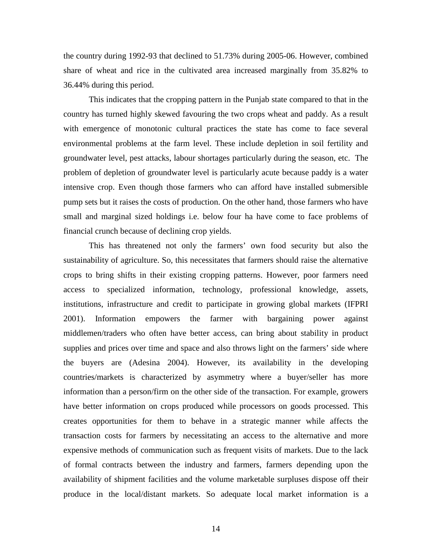the country during 1992-93 that declined to 51.73% during 2005-06. However, combined share of wheat and rice in the cultivated area increased marginally from 35.82% to 36.44% during this period.

This indicates that the cropping pattern in the Punjab state compared to that in the country has turned highly skewed favouring the two crops wheat and paddy. As a result with emergence of monotonic cultural practices the state has come to face several environmental problems at the farm level. These include depletion in soil fertility and groundwater level, pest attacks, labour shortages particularly during the season, etc. The problem of depletion of groundwater level is particularly acute because paddy is a water intensive crop. Even though those farmers who can afford have installed submersible pump sets but it raises the costs of production. On the other hand, those farmers who have small and marginal sized holdings i.e. below four ha have come to face problems of financial crunch because of declining crop yields.

This has threatened not only the farmers' own food security but also the sustainability of agriculture. So, this necessitates that farmers should raise the alternative crops to bring shifts in their existing cropping patterns. However, poor farmers need access to specialized information, technology, professional knowledge, assets, institutions, infrastructure and credit to participate in growing global markets (IFPRI 2001). Information empowers the farmer with bargaining power against middlemen/traders who often have better access, can bring about stability in product supplies and prices over time and space and also throws light on the farmers' side where the buyers are (Adesina 2004). However, its availability in the developing countries/markets is characterized by asymmetry where a buyer/seller has more information than a person/firm on the other side of the transaction. For example, growers have better information on crops produced while processors on goods processed. This creates opportunities for them to behave in a strategic manner while affects the transaction costs for farmers by necessitating an access to the alternative and more expensive methods of communication such as frequent visits of markets. Due to the lack of formal contracts between the industry and farmers, farmers depending upon the availability of shipment facilities and the volume marketable surpluses dispose off their produce in the local/distant markets. So adequate local market information is a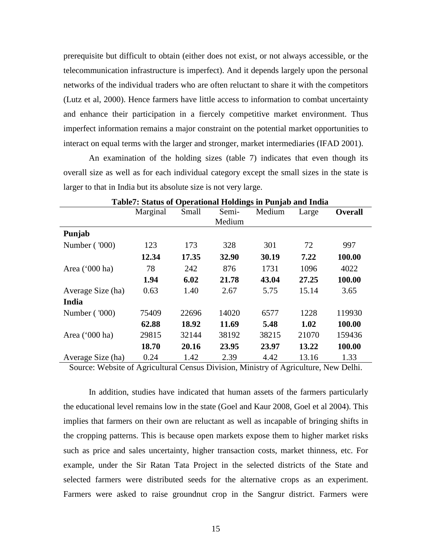prerequisite but difficult to obtain (either does not exist, or not always accessible, or the telecommunication infrastructure is imperfect). And it depends largely upon the personal networks of the individual traders who are often reluctant to share it with the competitors (Lutz et al, 2000). Hence farmers have little access to information to combat uncertainty and enhance their participation in a fiercely competitive market environment. Thus imperfect information remains a major constraint on the potential market opportunities to interact on equal terms with the larger and stronger, market intermediaries (IFAD 2001).

An examination of the holding sizes (table 7) indicates that even though its overall size as well as for each individual category except the small sizes in the state is larger to that in India but its absolute size is not very large.

|                         | Table <i>i</i> . Status of Operational Holdings in Fullab and Hidia |       |        |        |       |                |
|-------------------------|---------------------------------------------------------------------|-------|--------|--------|-------|----------------|
|                         | Marginal                                                            | Small | Semi-  | Medium | Large | <b>Overall</b> |
|                         |                                                                     |       | Medium |        |       |                |
| Punjab                  |                                                                     |       |        |        |       |                |
| Number ('000)           | 123                                                                 | 173   | 328    | 301    | 72    | 997            |
|                         | 12.34                                                               | 17.35 | 32.90  | 30.19  | 7.22  | 100.00         |
| Area $(000 \text{ ha})$ | 78                                                                  | 242   | 876    | 1731   | 1096  | 4022           |
|                         | 1.94                                                                | 6.02  | 21.78  | 43.04  | 27.25 | 100.00         |
| Average Size (ha)       | 0.63                                                                | 1.40  | 2.67   | 5.75   | 15.14 | 3.65           |
| India                   |                                                                     |       |        |        |       |                |
| Number ('000)           | 75409                                                               | 22696 | 14020  | 6577   | 1228  | 119930         |
|                         | 62.88                                                               | 18.92 | 11.69  | 5.48   | 1.02  | 100.00         |
| Area ('000 ha)          | 29815                                                               | 32144 | 38192  | 38215  | 21070 | 159436         |
|                         | 18.70                                                               | 20.16 | 23.95  | 23.97  | 13.22 | 100.00         |
| Average Size (ha)       | 0.24                                                                | 1.42  | 2.39   | 4.42   | 13.16 | 1.33           |

**Table7: Status of Operational Holdings in Punjab and India** 

Source: Website of Agricultural Census Division, Ministry of Agriculture, New Delhi.

In addition, studies have indicated that human assets of the farmers particularly the educational level remains low in the state (Goel and Kaur 2008, Goel et al 2004). This implies that farmers on their own are reluctant as well as incapable of bringing shifts in the cropping patterns. This is because open markets expose them to higher market risks such as price and sales uncertainty, higher transaction costs, market thinness, etc. For example, under the Sir Ratan Tata Project in the selected districts of the State and selected farmers were distributed seeds for the alternative crops as an experiment. Farmers were asked to raise groundnut crop in the Sangrur district. Farmers were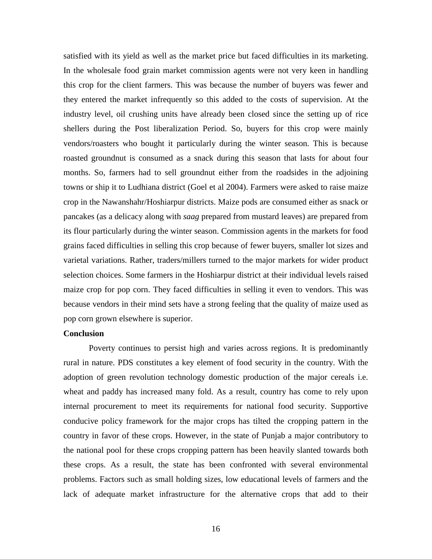satisfied with its yield as well as the market price but faced difficulties in its marketing. In the wholesale food grain market commission agents were not very keen in handling this crop for the client farmers. This was because the number of buyers was fewer and they entered the market infrequently so this added to the costs of supervision. At the industry level, oil crushing units have already been closed since the setting up of rice shellers during the Post liberalization Period. So, buyers for this crop were mainly vendors/roasters who bought it particularly during the winter season. This is because roasted groundnut is consumed as a snack during this season that lasts for about four months. So, farmers had to sell groundnut either from the roadsides in the adjoining towns or ship it to Ludhiana district (Goel et al 2004). Farmers were asked to raise maize crop in the Nawanshahr/Hoshiarpur districts. Maize pods are consumed either as snack or pancakes (as a delicacy along with *saag* prepared from mustard leaves) are prepared from its flour particularly during the winter season. Commission agents in the markets for food grains faced difficulties in selling this crop because of fewer buyers, smaller lot sizes and varietal variations. Rather, traders/millers turned to the major markets for wider product selection choices. Some farmers in the Hoshiarpur district at their individual levels raised maize crop for pop corn. They faced difficulties in selling it even to vendors. This was because vendors in their mind sets have a strong feeling that the quality of maize used as pop corn grown elsewhere is superior.

#### **Conclusion**

Poverty continues to persist high and varies across regions. It is predominantly rural in nature. PDS constitutes a key element of food security in the country. With the adoption of green revolution technology domestic production of the major cereals i.e. wheat and paddy has increased many fold. As a result, country has come to rely upon internal procurement to meet its requirements for national food security. Supportive conducive policy framework for the major crops has tilted the cropping pattern in the country in favor of these crops. However, in the state of Punjab a major contributory to the national pool for these crops cropping pattern has been heavily slanted towards both these crops. As a result, the state has been confronted with several environmental problems. Factors such as small holding sizes, low educational levels of farmers and the lack of adequate market infrastructure for the alternative crops that add to their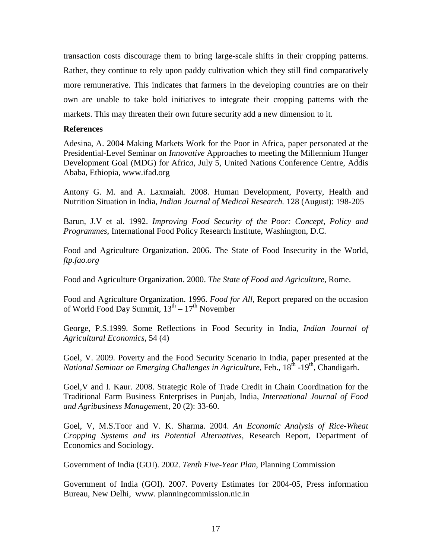transaction costs discourage them to bring large-scale shifts in their cropping patterns. Rather, they continue to rely upon paddy cultivation which they still find comparatively more remunerative. This indicates that farmers in the developing countries are on their own are unable to take bold initiatives to integrate their cropping patterns with the markets. This may threaten their own future security add a new dimension to it.

## **References**

Adesina, A. 2004 Making Markets Work for the Poor in Africa, paper personated at the Presidential-Level Seminar on *Innovative* Approaches to meeting the Millennium Hunger Development Goal (MDG) for Afric*a*, July 5, United Nations Conference Centre, Addis Ababa, Ethiopia, www.ifad.org

Antony G. M. and A. Laxmaiah. 2008. Human Development, Poverty, Health and Nutrition Situation in India, *Indian Journal of Medical Research.* 128 (August): 198-205

Barun, J.V et al. 1992. *Improving Food Security of the Poor: Concept, Policy and Programmes*, International Food Policy Research Institute, Washington, D.C.

Food and Agriculture Organization. 2006. The State of Food Insecurity in the World, *ftp.fao.org* 

Food and Agriculture Organization. 2000. *The State of Food and Agriculture*, Rome.

Food and Agriculture Organization. 1996. *Food for All*, Report prepared on the occasion of World Food Day Summit,  $13^{th} - 17^{th}$  November

George, P.S.1999. Some Reflections in Food Security in India, *Indian Journal of Agricultural Economics*, 54 (4)

Goel, V. 2009. Poverty and the Food Security Scenario in India, paper presented at the *National Seminar on Emerging Challenges in Agriculture*, Feb., 18<sup>th</sup> -19<sup>th</sup>, Chandigarh.

Goel,V and I. Kaur. 2008. Strategic Role of Trade Credit in Chain Coordination for the Traditional Farm Business Enterprises in Punjab, India, *International Journal of Food and Agribusiness Manageme*nt, 20 (2): 33-60.

Goel, V, M.S.Toor and V. K. Sharma. 2004. *An Economic Analysis of Rice-Wheat Cropping Systems and its Potential Alternatives*, Research Report, Department of Economics and Sociology.

Government of India (GOI). 2002. *Tenth Five-Year Plan*, Planning Commission

Government of India (GOI). 2007. Poverty Estimates for 2004-05, Press information Bureau, New Delhi, www. planningcommission.nic.in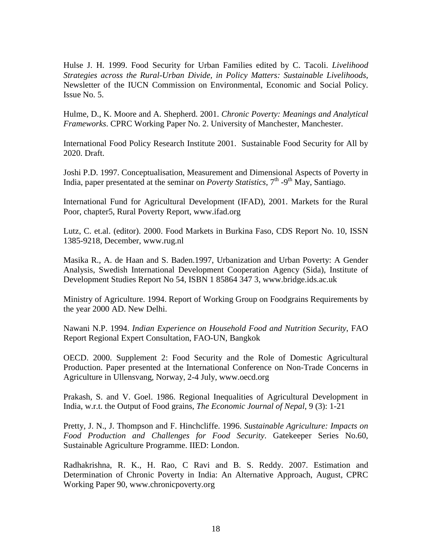Hulse J. H. 1999. Food Security for Urban Families edited by C. Tacoli. *Livelihood Strategies across the Rural-Urban Divide, in Policy Matters: Sustainable Livelihoods*, Newsletter of the IUCN Commission on Environmental, Economic and Social Policy. Issue No. 5.

Hulme, D., K. Moore and A. Shepherd. 2001. *Chronic Poverty: Meanings and Analytical Frameworks*. CPRC Working Paper No. 2. University of Manchester, Manchester.

International Food Policy Research Institute 2001. Sustainable Food Security for All by 2020. Draft.

Joshi P.D. 1997. Conceptualisation, Measurement and Dimensional Aspects of Poverty in India, paper presentated at the seminar on *Poverty Statistics*, 7<sup>th</sup> -9<sup>th</sup> May, Santiago.

International Fund for Agricultural Development (IFAD), 2001. Markets for the Rural Poor, chapter5, Rural Poverty Report, www.ifad.org

Lutz, C. et.al. (editor). 2000. Food Markets in Burkina Faso, CDS Report No. 10, ISSN 1385-9218, December, www.rug.nl

Masika R., A. de Haan and S. Baden.1997, Urbanization and Urban Poverty: A Gender Analysis, Swedish International Development Cooperation Agency (Sida), Institute of Development Studies Report No 54, ISBN 1 85864 347 3, www.bridge.ids.ac.uk

Ministry of Agriculture. 1994. Report of Working Group on Foodgrains Requirements by the year 2000 AD. New Delhi.

Nawani N.P. 1994. *Indian Experience on Household Food and Nutrition Security*, FAO Report Regional Expert Consultation, FAO-UN, Bangkok

OECD. 2000. Supplement 2: Food Security and the Role of Domestic Agricultural Production. Paper presented at the International Conference on Non-Trade Concerns in Agriculture in Ullensvang, Norway, 2-4 July, www.oecd.org

Prakash, S. and V. Goel. 1986. Regional Inequalities of Agricultural Development in India, w.r.t. the Output of Food grains, *The Economic Journal of Nepal*, 9 (3): 1-21

Pretty, J. N., J. Thompson and F. Hinchcliffe. 1996. *Sustainable Agriculture: Impacts on Food Production and Challenges for Food Security*. Gatekeeper Series No.60, Sustainable Agriculture Programme. IIED: London.

Radhakrishna, R. K., H. Rao, C Ravi and B. S. Reddy. 2007. Estimation and Determination of Chronic Poverty in India: An Alternative Approach, August, CPRC Working Paper 90, www.chronicpoverty.org